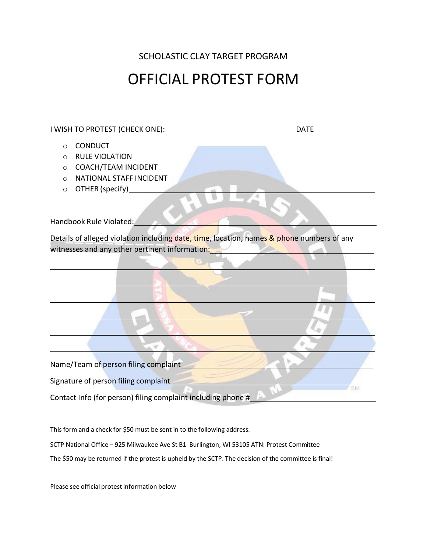SCHOLASTIC CLAY TARGET PROGRAM

## OFFICIAL PROTEST FORM

I WISH TO PROTEST (CHECK ONE): DATE

- o CONDUCT
- o RULE VIOLATION
- o COACH/TEAM INCIDENT
- o NATIONAL STAFF INCIDENT
- o OTHER (specify)

Handbook Rule Violated:

Details of alleged violation including date, time, location, names & phone numbers of any witnesses and any other pertinent information:

Name/Team of person filing complaint

Signature of person filing complaint

Contact Info (for person) filing complaint including phone #

This form and a check for \$50 must be sent in to the following address:

SCTP National Office – 925 Milwaukee Ave St B1 Burlington, WI 53105 ATN: Protest Committee

The \$50 may be returned if the protest is upheld by the SCTP. The decision of the committee is final!

Please see official protest information below